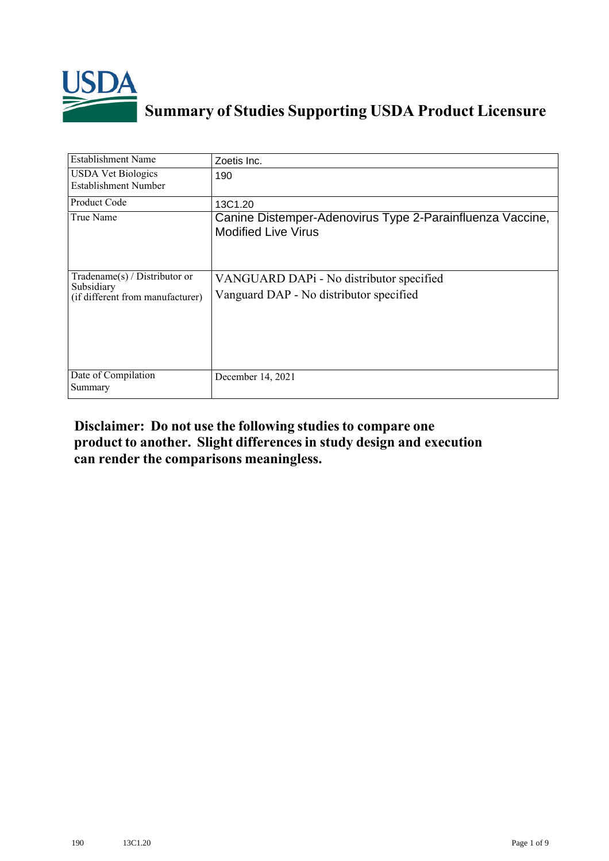

## **Summary of Studies Supporting USDA Product Licensure**

| <b>Establishment Name</b>                                                          | Zoetis Inc.                                                                             |
|------------------------------------------------------------------------------------|-----------------------------------------------------------------------------------------|
| <b>USDA Vet Biologics</b><br><b>Establishment Number</b>                           | 190                                                                                     |
| <b>Product Code</b>                                                                | 13C1.20                                                                                 |
| True Name                                                                          | Canine Distemper-Adenovirus Type 2-Parainfluenza Vaccine,<br><b>Modified Live Virus</b> |
| Tradename $(s)$ / Distributor or<br>Subsidiary<br>(if different from manufacturer) | VANGUARD DAPi - No distributor specified<br>Vanguard DAP - No distributor specified     |
| Date of Compilation<br>Summary                                                     | December 14, 2021                                                                       |

## **Disclaimer: Do not use the following studiesto compare one product to another. Slight differencesin study design and execution can render the comparisons meaningless.**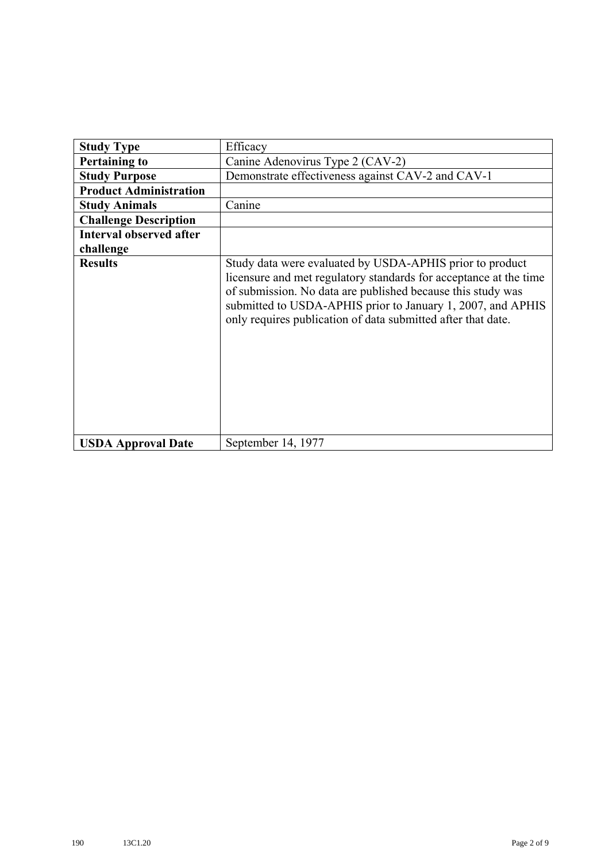| <b>Study Type</b>              | Efficacy                                                                                                                                                                                                                                                                                                                    |
|--------------------------------|-----------------------------------------------------------------------------------------------------------------------------------------------------------------------------------------------------------------------------------------------------------------------------------------------------------------------------|
| <b>Pertaining to</b>           | Canine Adenovirus Type 2 (CAV-2)                                                                                                                                                                                                                                                                                            |
| <b>Study Purpose</b>           | Demonstrate effectiveness against CAV-2 and CAV-1                                                                                                                                                                                                                                                                           |
| <b>Product Administration</b>  |                                                                                                                                                                                                                                                                                                                             |
| <b>Study Animals</b>           | Canine                                                                                                                                                                                                                                                                                                                      |
| <b>Challenge Description</b>   |                                                                                                                                                                                                                                                                                                                             |
| <b>Interval observed after</b> |                                                                                                                                                                                                                                                                                                                             |
| challenge                      |                                                                                                                                                                                                                                                                                                                             |
| <b>Results</b>                 | Study data were evaluated by USDA-APHIS prior to product<br>licensure and met regulatory standards for acceptance at the time<br>of submission. No data are published because this study was<br>submitted to USDA-APHIS prior to January 1, 2007, and APHIS<br>only requires publication of data submitted after that date. |
| <b>USDA Approval Date</b>      | September 14, 1977                                                                                                                                                                                                                                                                                                          |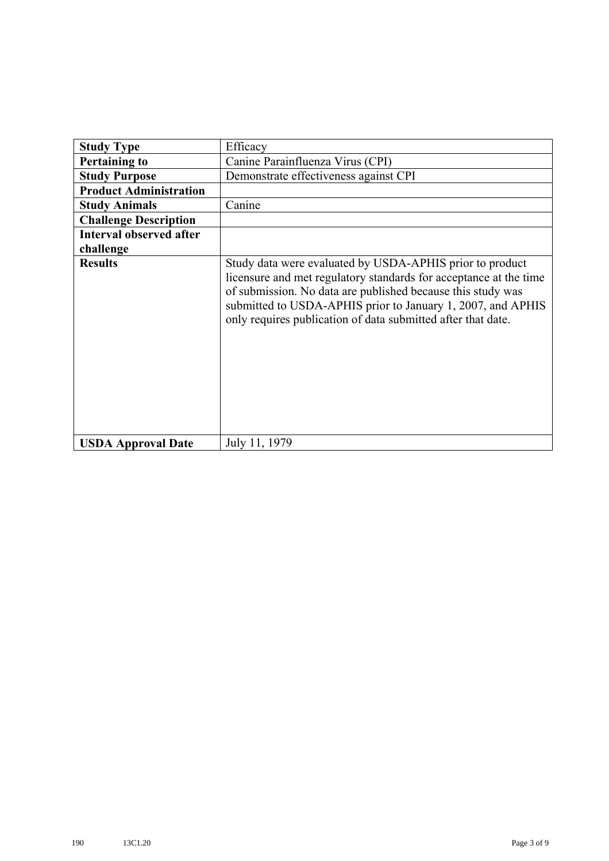| <b>Study Type</b>              | Efficacy                                                                                                                                                                                                                                                                                                                    |
|--------------------------------|-----------------------------------------------------------------------------------------------------------------------------------------------------------------------------------------------------------------------------------------------------------------------------------------------------------------------------|
| <b>Pertaining to</b>           | Canine Parainfluenza Virus (CPI)                                                                                                                                                                                                                                                                                            |
| <b>Study Purpose</b>           | Demonstrate effectiveness against CPI                                                                                                                                                                                                                                                                                       |
| <b>Product Administration</b>  |                                                                                                                                                                                                                                                                                                                             |
| <b>Study Animals</b>           | Canine                                                                                                                                                                                                                                                                                                                      |
| <b>Challenge Description</b>   |                                                                                                                                                                                                                                                                                                                             |
| <b>Interval observed after</b> |                                                                                                                                                                                                                                                                                                                             |
| challenge                      |                                                                                                                                                                                                                                                                                                                             |
| <b>Results</b>                 | Study data were evaluated by USDA-APHIS prior to product<br>licensure and met regulatory standards for acceptance at the time<br>of submission. No data are published because this study was<br>submitted to USDA-APHIS prior to January 1, 2007, and APHIS<br>only requires publication of data submitted after that date. |
| <b>USDA Approval Date</b>      | July 11, 1979                                                                                                                                                                                                                                                                                                               |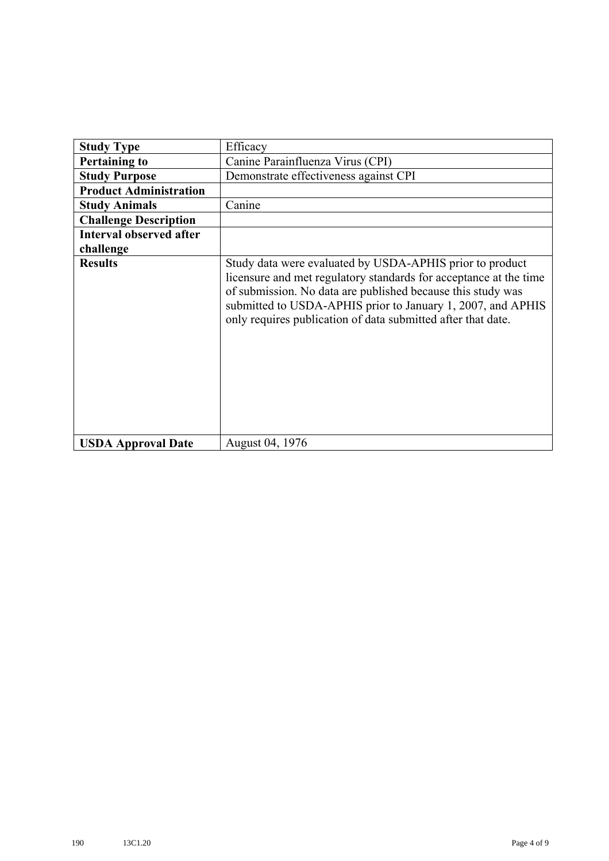| <b>Study Type</b>              | Efficacy                                                                                                                                                                                                                                                                                                                    |
|--------------------------------|-----------------------------------------------------------------------------------------------------------------------------------------------------------------------------------------------------------------------------------------------------------------------------------------------------------------------------|
| <b>Pertaining to</b>           | Canine Parainfluenza Virus (CPI)                                                                                                                                                                                                                                                                                            |
| <b>Study Purpose</b>           | Demonstrate effectiveness against CPI                                                                                                                                                                                                                                                                                       |
| <b>Product Administration</b>  |                                                                                                                                                                                                                                                                                                                             |
| <b>Study Animals</b>           | Canine                                                                                                                                                                                                                                                                                                                      |
| <b>Challenge Description</b>   |                                                                                                                                                                                                                                                                                                                             |
| <b>Interval observed after</b> |                                                                                                                                                                                                                                                                                                                             |
| challenge                      |                                                                                                                                                                                                                                                                                                                             |
| <b>Results</b>                 | Study data were evaluated by USDA-APHIS prior to product<br>licensure and met regulatory standards for acceptance at the time<br>of submission. No data are published because this study was<br>submitted to USDA-APHIS prior to January 1, 2007, and APHIS<br>only requires publication of data submitted after that date. |
| <b>USDA Approval Date</b>      | August 04, 1976                                                                                                                                                                                                                                                                                                             |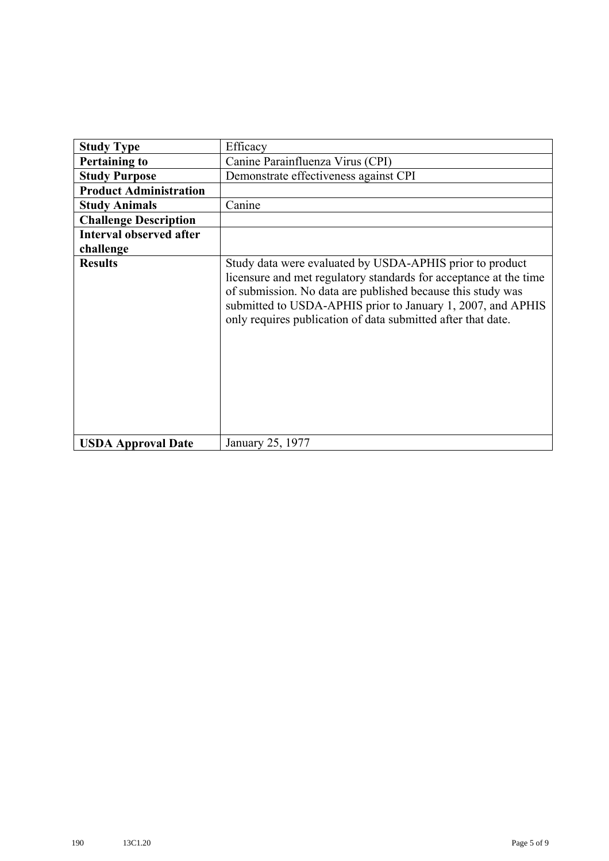| <b>Study Type</b>              | Efficacy                                                                                                                                                                                                                                                                                                                    |
|--------------------------------|-----------------------------------------------------------------------------------------------------------------------------------------------------------------------------------------------------------------------------------------------------------------------------------------------------------------------------|
| <b>Pertaining to</b>           | Canine Parainfluenza Virus (CPI)                                                                                                                                                                                                                                                                                            |
| <b>Study Purpose</b>           | Demonstrate effectiveness against CPI                                                                                                                                                                                                                                                                                       |
| <b>Product Administration</b>  |                                                                                                                                                                                                                                                                                                                             |
| <b>Study Animals</b>           | Canine                                                                                                                                                                                                                                                                                                                      |
| <b>Challenge Description</b>   |                                                                                                                                                                                                                                                                                                                             |
| <b>Interval observed after</b> |                                                                                                                                                                                                                                                                                                                             |
| challenge                      |                                                                                                                                                                                                                                                                                                                             |
| <b>Results</b>                 | Study data were evaluated by USDA-APHIS prior to product<br>licensure and met regulatory standards for acceptance at the time<br>of submission. No data are published because this study was<br>submitted to USDA-APHIS prior to January 1, 2007, and APHIS<br>only requires publication of data submitted after that date. |
| <b>USDA Approval Date</b>      | January 25, 1977                                                                                                                                                                                                                                                                                                            |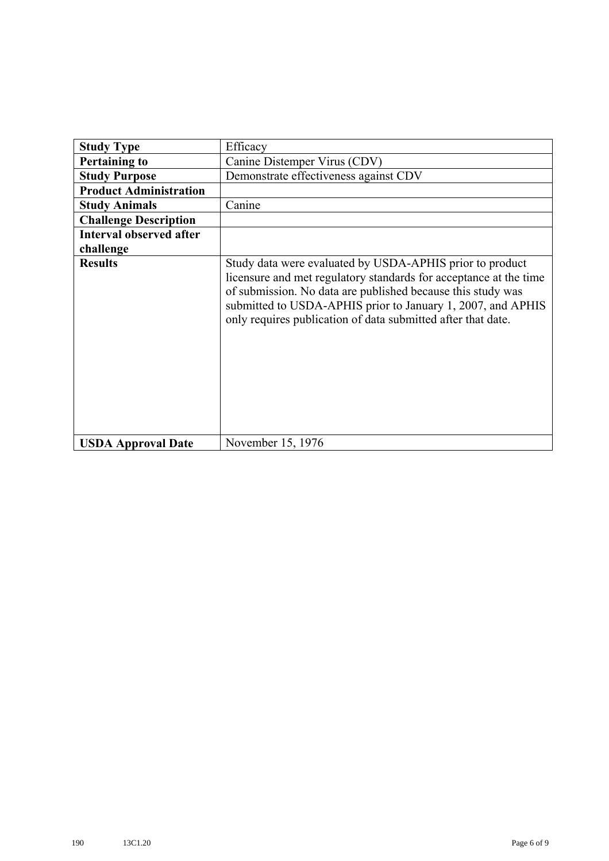| <b>Study Type</b>              | Efficacy                                                                                                                                                                                                                                                                                                                    |
|--------------------------------|-----------------------------------------------------------------------------------------------------------------------------------------------------------------------------------------------------------------------------------------------------------------------------------------------------------------------------|
| <b>Pertaining to</b>           | Canine Distemper Virus (CDV)                                                                                                                                                                                                                                                                                                |
| <b>Study Purpose</b>           | Demonstrate effectiveness against CDV                                                                                                                                                                                                                                                                                       |
| <b>Product Administration</b>  |                                                                                                                                                                                                                                                                                                                             |
| <b>Study Animals</b>           | Canine                                                                                                                                                                                                                                                                                                                      |
| <b>Challenge Description</b>   |                                                                                                                                                                                                                                                                                                                             |
| <b>Interval observed after</b> |                                                                                                                                                                                                                                                                                                                             |
| challenge                      |                                                                                                                                                                                                                                                                                                                             |
| <b>Results</b>                 | Study data were evaluated by USDA-APHIS prior to product<br>licensure and met regulatory standards for acceptance at the time<br>of submission. No data are published because this study was<br>submitted to USDA-APHIS prior to January 1, 2007, and APHIS<br>only requires publication of data submitted after that date. |
| <b>USDA Approval Date</b>      | November 15, 1976                                                                                                                                                                                                                                                                                                           |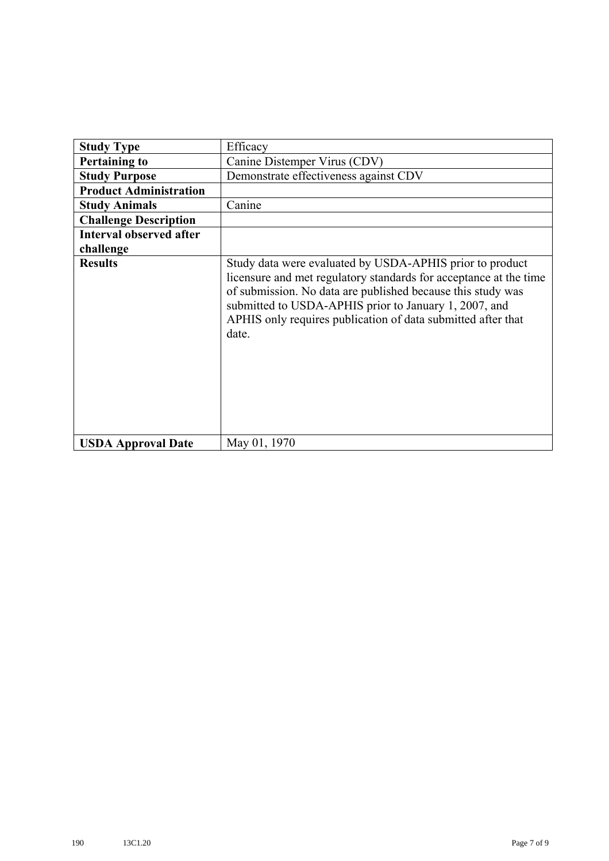| <b>Study Type</b>              | Efficacy                                                                                                                                                                                                                                                                                                                       |
|--------------------------------|--------------------------------------------------------------------------------------------------------------------------------------------------------------------------------------------------------------------------------------------------------------------------------------------------------------------------------|
| <b>Pertaining to</b>           | Canine Distemper Virus (CDV)                                                                                                                                                                                                                                                                                                   |
| <b>Study Purpose</b>           | Demonstrate effectiveness against CDV                                                                                                                                                                                                                                                                                          |
| <b>Product Administration</b>  |                                                                                                                                                                                                                                                                                                                                |
| <b>Study Animals</b>           | Canine                                                                                                                                                                                                                                                                                                                         |
| <b>Challenge Description</b>   |                                                                                                                                                                                                                                                                                                                                |
| <b>Interval observed after</b> |                                                                                                                                                                                                                                                                                                                                |
| challenge                      |                                                                                                                                                                                                                                                                                                                                |
| <b>Results</b>                 | Study data were evaluated by USDA-APHIS prior to product<br>licensure and met regulatory standards for acceptance at the time<br>of submission. No data are published because this study was<br>submitted to USDA-APHIS prior to January 1, 2007, and<br>APHIS only requires publication of data submitted after that<br>date. |
| <b>USDA Approval Date</b>      | May 01, 1970                                                                                                                                                                                                                                                                                                                   |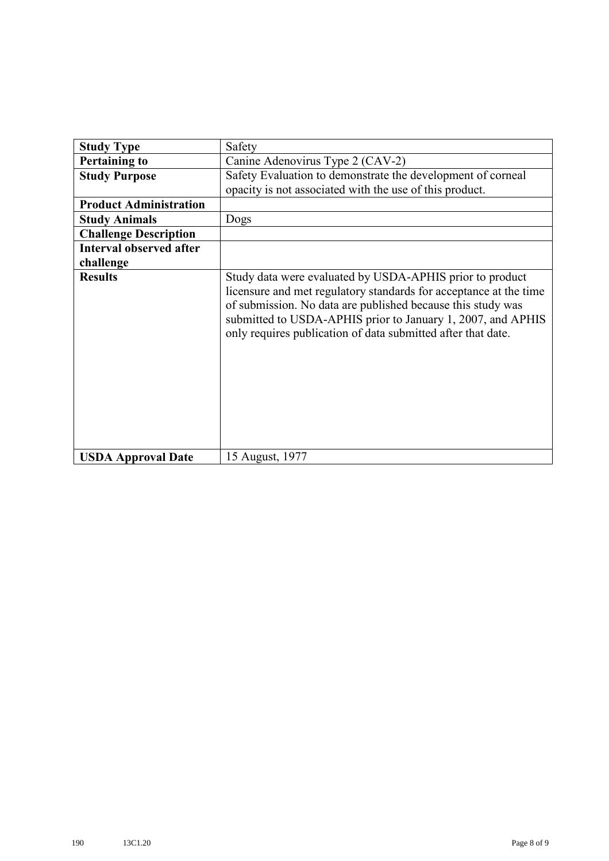| <b>Study Type</b>              | Safety                                                                                                                                                                                                                                                                                                                      |
|--------------------------------|-----------------------------------------------------------------------------------------------------------------------------------------------------------------------------------------------------------------------------------------------------------------------------------------------------------------------------|
| <b>Pertaining to</b>           | Canine Adenovirus Type 2 (CAV-2)                                                                                                                                                                                                                                                                                            |
| <b>Study Purpose</b>           | Safety Evaluation to demonstrate the development of corneal                                                                                                                                                                                                                                                                 |
|                                | opacity is not associated with the use of this product.                                                                                                                                                                                                                                                                     |
| <b>Product Administration</b>  |                                                                                                                                                                                                                                                                                                                             |
| <b>Study Animals</b>           | Dogs                                                                                                                                                                                                                                                                                                                        |
| <b>Challenge Description</b>   |                                                                                                                                                                                                                                                                                                                             |
| <b>Interval observed after</b> |                                                                                                                                                                                                                                                                                                                             |
| challenge                      |                                                                                                                                                                                                                                                                                                                             |
| <b>Results</b>                 | Study data were evaluated by USDA-APHIS prior to product<br>licensure and met regulatory standards for acceptance at the time<br>of submission. No data are published because this study was<br>submitted to USDA-APHIS prior to January 1, 2007, and APHIS<br>only requires publication of data submitted after that date. |
| <b>USDA Approval Date</b>      | 15 August, 1977                                                                                                                                                                                                                                                                                                             |